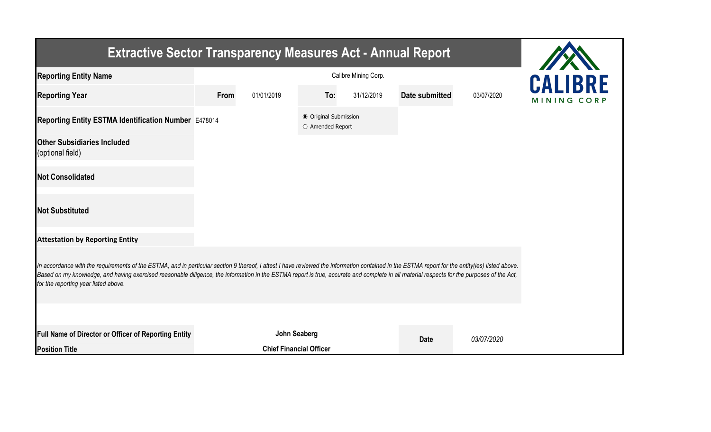| <b>Extractive Sector Transparency Measures Act - Annual Report</b>                                                                                                                                                                                                                                                                                                                                                                    |      |                                |                                           |            |                |            |             |
|---------------------------------------------------------------------------------------------------------------------------------------------------------------------------------------------------------------------------------------------------------------------------------------------------------------------------------------------------------------------------------------------------------------------------------------|------|--------------------------------|-------------------------------------------|------------|----------------|------------|-------------|
| <b>Reporting Entity Name</b>                                                                                                                                                                                                                                                                                                                                                                                                          |      | <b>CALIBRF</b>                 |                                           |            |                |            |             |
| <b>Reporting Year</b>                                                                                                                                                                                                                                                                                                                                                                                                                 | From | 01/01/2019                     | To:                                       | 31/12/2019 | Date submitted | 03/07/2020 | MINING CORP |
| Reporting Entity ESTMA Identification Number E478014                                                                                                                                                                                                                                                                                                                                                                                  |      |                                | ● Original Submission<br>O Amended Report |            |                |            |             |
| <b>Other Subsidiaries Included</b><br>(optional field)                                                                                                                                                                                                                                                                                                                                                                                |      |                                |                                           |            |                |            |             |
| <b>Not Consolidated</b>                                                                                                                                                                                                                                                                                                                                                                                                               |      |                                |                                           |            |                |            |             |
| <b>Not Substituted</b>                                                                                                                                                                                                                                                                                                                                                                                                                |      |                                |                                           |            |                |            |             |
| <b>Attestation by Reporting Entity</b>                                                                                                                                                                                                                                                                                                                                                                                                |      |                                |                                           |            |                |            |             |
| In accordance with the requirements of the ESTMA, and in particular section 9 thereof, I attest I have reviewed the information contained in the ESTMA report for the entity(ies) listed above.<br>Based on my knowledge, and having exercised reasonable diligence, the information in the ESTMA report is true, accurate and complete in all material respects for the purposes of the Act,<br>for the reporting year listed above. |      |                                |                                           |            |                |            |             |
|                                                                                                                                                                                                                                                                                                                                                                                                                                       |      |                                |                                           |            |                |            |             |
| Full Name of Director or Officer of Reporting Entity                                                                                                                                                                                                                                                                                                                                                                                  |      | <b>John Seaberg</b>            |                                           |            | <b>Date</b>    | 03/07/2020 |             |
| <b>Position Title</b>                                                                                                                                                                                                                                                                                                                                                                                                                 |      | <b>Chief Financial Officer</b> |                                           |            |                |            |             |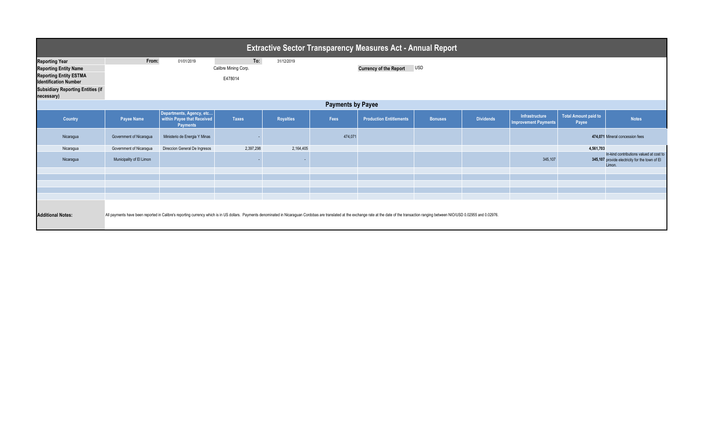| <b>Extractive Sector Transparency Measures Act - Annual Report</b>                                                                                                                                                                                         |                          |                                                                           |                                        |                  |         |                                |                |                  |                                               |                                      |                                                                                                     |
|------------------------------------------------------------------------------------------------------------------------------------------------------------------------------------------------------------------------------------------------------------|--------------------------|---------------------------------------------------------------------------|----------------------------------------|------------------|---------|--------------------------------|----------------|------------------|-----------------------------------------------|--------------------------------------|-----------------------------------------------------------------------------------------------------|
| <b>Reporting Year</b><br><b>Reporting Entity Name</b><br><b>Reporting Entity ESTMA</b><br><b>Identification Number</b><br><b>Subsidiary Reporting Entities (if</b><br>necessary)                                                                           | From:                    | 01/01/2019                                                                | To:<br>Calibre Mining Corp.<br>E478014 | 31/12/2019       |         | <b>Currency of the Report</b>  | <b>USD</b>     |                  |                                               |                                      |                                                                                                     |
| <b>Payments by Payee</b>                                                                                                                                                                                                                                   |                          |                                                                           |                                        |                  |         |                                |                |                  |                                               |                                      |                                                                                                     |
| Country                                                                                                                                                                                                                                                    | <b>Payee Name</b>        | Departments, Agency, etc<br>within Payee that Received<br><b>Payments</b> | <b>Taxes</b>                           | <b>Royalties</b> | Fees    | <b>Production Entitlements</b> | <b>Bonuses</b> | <b>Dividends</b> | Infrastructure<br><b>Improvement Payments</b> | <b>Total Amount paid to</b><br>Payee | <b>Notes</b>                                                                                        |
| Nicaragua                                                                                                                                                                                                                                                  | Government of Nicaragua  | Ministerio de Energia Y Minas                                             |                                        |                  | 474,071 |                                |                |                  |                                               |                                      | 474,071 Mineral concession fees                                                                     |
| Nicaragua                                                                                                                                                                                                                                                  | Government of Nicaragua  | Direccion General De Ingresos                                             | 2,397,298                              | 2,164,405        |         |                                |                |                  |                                               | 4,561,703                            |                                                                                                     |
| Nicaragua                                                                                                                                                                                                                                                  | Municipality of El Limon |                                                                           |                                        |                  |         |                                |                |                  | 345,107                                       |                                      | In-kind contributions valued at cost to<br>345,107 provide electricity for the town of El<br>Limon. |
|                                                                                                                                                                                                                                                            |                          |                                                                           |                                        |                  |         |                                |                |                  |                                               |                                      |                                                                                                     |
|                                                                                                                                                                                                                                                            |                          |                                                                           |                                        |                  |         |                                |                |                  |                                               |                                      |                                                                                                     |
|                                                                                                                                                                                                                                                            |                          |                                                                           |                                        |                  |         |                                |                |                  |                                               |                                      |                                                                                                     |
|                                                                                                                                                                                                                                                            |                          |                                                                           |                                        |                  |         |                                |                |                  |                                               |                                      |                                                                                                     |
| All payments have been reported in Calibre's reporting currency which is in US dollars. Payments denominated in Nicaraguan Cordobas are translated at the exchange rate at the date of the transaction ranging between NIO/USD<br><b>Additional Notes:</b> |                          |                                                                           |                                        |                  |         |                                |                |                  |                                               |                                      |                                                                                                     |